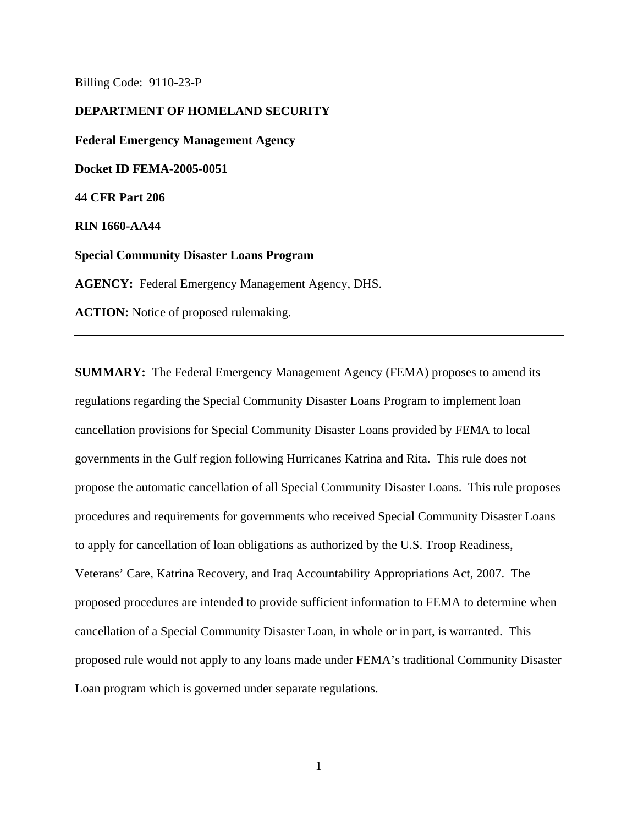Billing Code: 9110-23-P

**DEPARTMENT OF HOMELAND SECURITY Federal Emergency Management Agency Docket ID FEMA-2005-0051 44 CFR Part 206 RIN 1660-AA44 Special Community Disaster Loans Program AGENCY:** Federal Emergency Management Agency, DHS. **ACTION:** Notice of proposed rulemaking.

**SUMMARY:** The Federal Emergency Management Agency (FEMA) proposes to amend its regulations regarding the Special Community Disaster Loans Program to implement loan cancellation provisions for Special Community Disaster Loans provided by FEMA to local governments in the Gulf region following Hurricanes Katrina and Rita. This rule does not propose the automatic cancellation of all Special Community Disaster Loans. This rule proposes procedures and requirements for governments who received Special Community Disaster Loans to apply for cancellation of loan obligations as authorized by the U.S. Troop Readiness, Veterans' Care, Katrina Recovery, and Iraq Accountability Appropriations Act, 2007. The proposed procedures are intended to provide sufficient information to FEMA to determine when cancellation of a Special Community Disaster Loan, in whole or in part, is warranted. This proposed rule would not apply to any loans made under FEMA's traditional Community Disaster Loan program which is governed under separate regulations.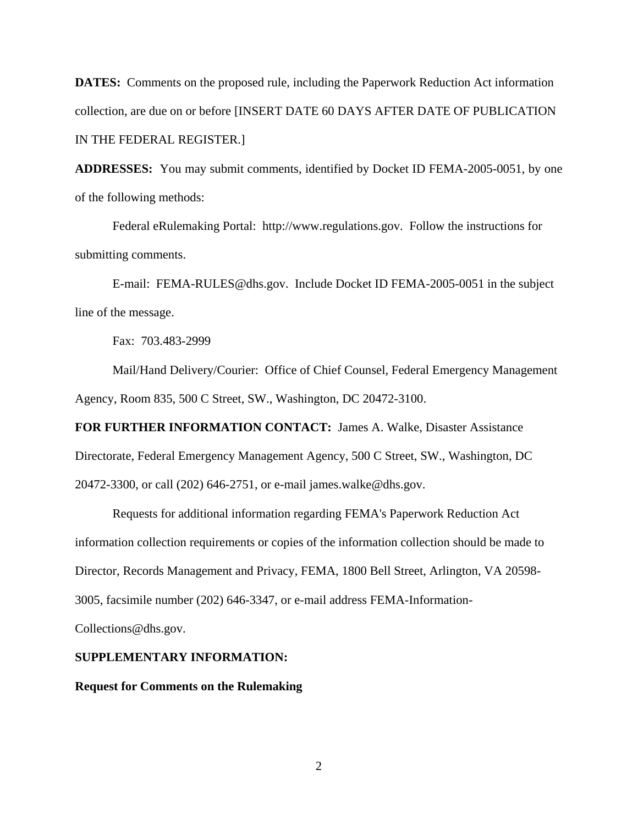**DATES:** Comments on the proposed rule, including the Paperwork Reduction Act information collection, are due on or before [INSERT DATE 60 DAYS AFTER DATE OF PUBLICATION IN THE FEDERAL REGISTER.]

**ADDRESSES:** You may submit comments, identified by Docket ID FEMA-2005-0051, by one of the following methods:

Federal eRulemaking Portal: http://www.regulations.gov. Follow the instructions for submitting comments.

E-mail: FEMA-RULES@dhs.gov. Include Docket ID FEMA-2005-0051 in the subject line of the message.

Fax: 703.483-2999

Mail/Hand Delivery/Courier: Office of Chief Counsel, Federal Emergency Management Agency, Room 835, 500 C Street, SW., Washington, DC 20472-3100.

**FOR FURTHER INFORMATION CONTACT:** James A. Walke, Disaster Assistance Directorate, Federal Emergency Management Agency, 500 C Street, SW., Washington, DC 20472-3300, or call (202) 646-2751, or e-mail james.walke@dhs.gov.

Requests for additional information regarding FEMA's Paperwork Reduction Act information collection requirements or copies of the information collection should be made to Director, Records Management and Privacy, FEMA, 1800 Bell Street, Arlington, VA 20598- 3005, facsimile number (202) 646-3347, or e-mail address FEMA-Information-Collections@dhs.gov.

# **SUPPLEMENTARY INFORMATION:**

**Request for Comments on the Rulemaking**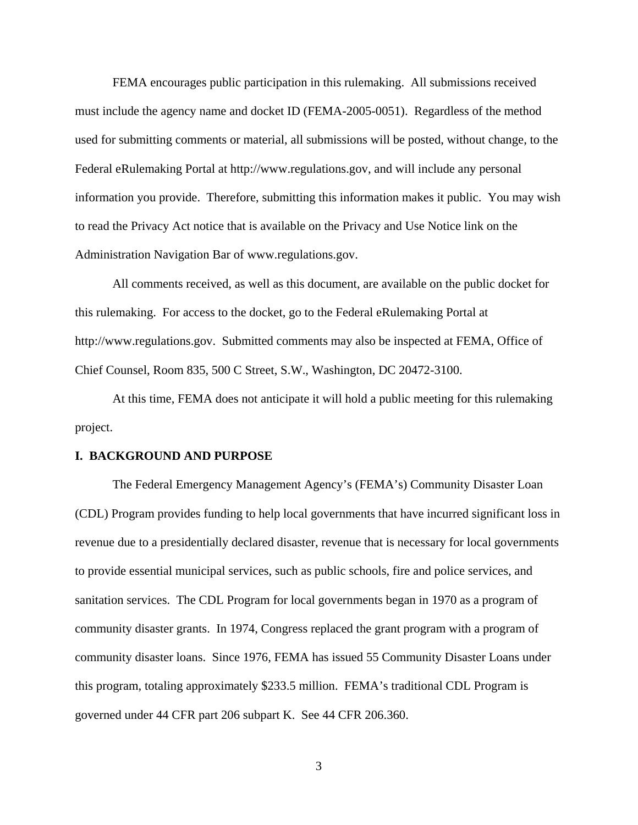FEMA encourages public participation in this rulemaking. All submissions received must include the agency name and docket ID (FEMA-2005-0051). Regardless of the method used for submitting comments or material, all submissions will be posted, without change, to the Federal eRulemaking Portal at http://www.regulations.gov, and will include any personal information you provide. Therefore, submitting this information makes it public. You may wish to read the Privacy Act notice that is available on the Privacy and Use Notice link on the Administration Navigation Bar of www.regulations.gov.

All comments received, as well as this document, are available on the public docket for this rulemaking. For access to the docket, go to the Federal eRulemaking Portal at http://www.regulations.gov. Submitted comments may also be inspected at FEMA, Office of Chief Counsel, Room 835, 500 C Street, S.W., Washington, DC 20472-3100.

At this time, FEMA does not anticipate it will hold a public meeting for this rulemaking project.

### **I. BACKGROUND AND PURPOSE**

The Federal Emergency Management Agency's (FEMA's) Community Disaster Loan (CDL) Program provides funding to help local governments that have incurred significant loss in revenue due to a presidentially declared disaster, revenue that is necessary for local governments to provide essential municipal services, such as public schools, fire and police services, and sanitation services. The CDL Program for local governments began in 1970 as a program of community disaster grants. In 1974, Congress replaced the grant program with a program of community disaster loans. Since 1976, FEMA has issued 55 Community Disaster Loans under this program, totaling approximately \$233.5 million. FEMA's traditional CDL Program is governed under 44 CFR part 206 subpart K. See 44 CFR 206.360.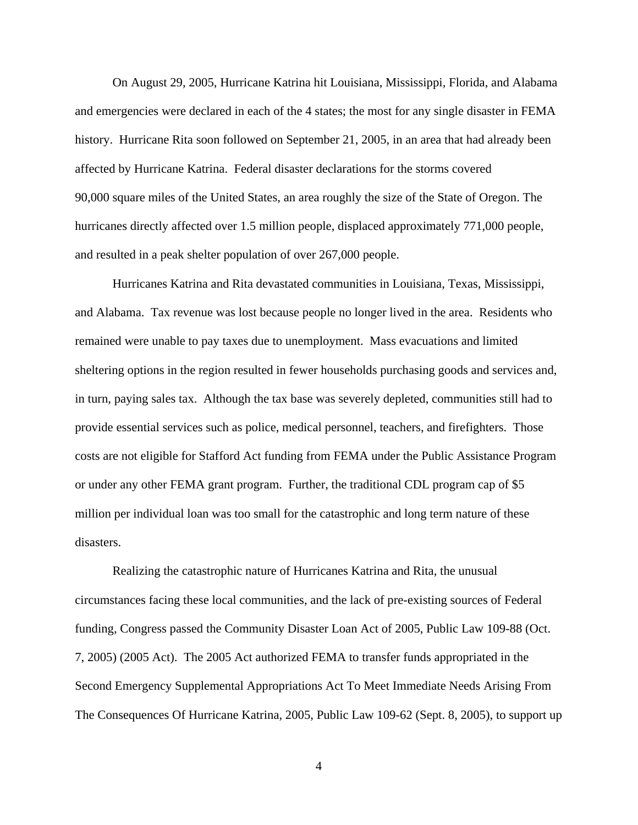On August 29, 2005, Hurricane Katrina hit Louisiana, Mississippi, Florida, and Alabama and emergencies were declared in each of the 4 states; the most for any single disaster in FEMA history. Hurricane Rita soon followed on September 21, 2005, in an area that had already been affected by Hurricane Katrina. Federal disaster declarations for the storms covered 90,000 square miles of the United States, an area roughly the size of the State of Oregon. The hurricanes directly affected over 1.5 million people, displaced approximately 771,000 people, and resulted in a peak shelter population of over 267,000 people.

Hurricanes Katrina and Rita devastated communities in Louisiana, Texas, Mississippi, and Alabama. Tax revenue was lost because people no longer lived in the area. Residents who remained were unable to pay taxes due to unemployment. Mass evacuations and limited sheltering options in the region resulted in fewer households purchasing goods and services and, in turn, paying sales tax. Although the tax base was severely depleted, communities still had to provide essential services such as police, medical personnel, teachers, and firefighters. Those costs are not eligible for Stafford Act funding from FEMA under the Public Assistance Program or under any other FEMA grant program. Further, the traditional CDL program cap of \$5 million per individual loan was too small for the catastrophic and long term nature of these disasters.

Realizing the catastrophic nature of Hurricanes Katrina and Rita, the unusual circumstances facing these local communities, and the lack of pre-existing sources of Federal funding, Congress passed the Community Disaster Loan Act of 2005, Public Law 109-88 (Oct. 7, 2005) (2005 Act). The 2005 Act authorized FEMA to transfer funds appropriated in the Second Emergency Supplemental Appropriations Act To Meet Immediate Needs Arising From The Consequences Of Hurricane Katrina, 2005, Public Law 109-62 (Sept. 8, 2005), to support up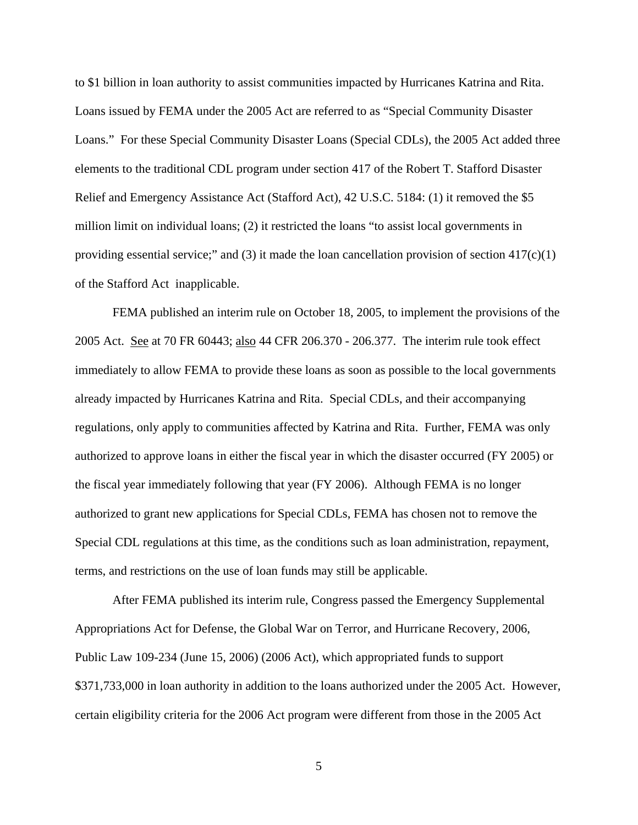to \$1 billion in loan authority to assist communities impacted by Hurricanes Katrina and Rita. Loans issued by FEMA under the 2005 Act are referred to as "Special Community Disaster Loans." For these Special Community Disaster Loans (Special CDLs), the 2005 Act added three elements to the traditional CDL program under section 417 of the Robert T. Stafford Disaster Relief and Emergency Assistance Act (Stafford Act), 42 U.S.C. 5184: (1) it removed the \$5 million limit on individual loans; (2) it restricted the loans "to assist local governments in providing essential service;" and (3) it made the loan cancellation provision of section  $417(c)(1)$ of the Stafford Act inapplicable.

FEMA published an interim rule on October 18, 2005, to implement the provisions of the 2005 Act. See at 70 FR 60443; also 44 CFR 206.370 - 206.377. The interim rule took effect immediately to allow FEMA to provide these loans as soon as possible to the local governments already impacted by Hurricanes Katrina and Rita. Special CDLs, and their accompanying regulations, only apply to communities affected by Katrina and Rita. Further, FEMA was only authorized to approve loans in either the fiscal year in which the disaster occurred (FY 2005) or the fiscal year immediately following that year (FY 2006). Although FEMA is no longer authorized to grant new applications for Special CDLs, FEMA has chosen not to remove the Special CDL regulations at this time, as the conditions such as loan administration, repayment, terms, and restrictions on the use of loan funds may still be applicable.

After FEMA published its interim rule, Congress passed the Emergency Supplemental Appropriations Act for Defense, the Global War on Terror, and Hurricane Recovery, 2006, Public Law 109-234 (June 15, 2006) (2006 Act), which appropriated funds to support \$371,733,000 in loan authority in addition to the loans authorized under the 2005 Act. However, certain eligibility criteria for the 2006 Act program were different from those in the 2005 Act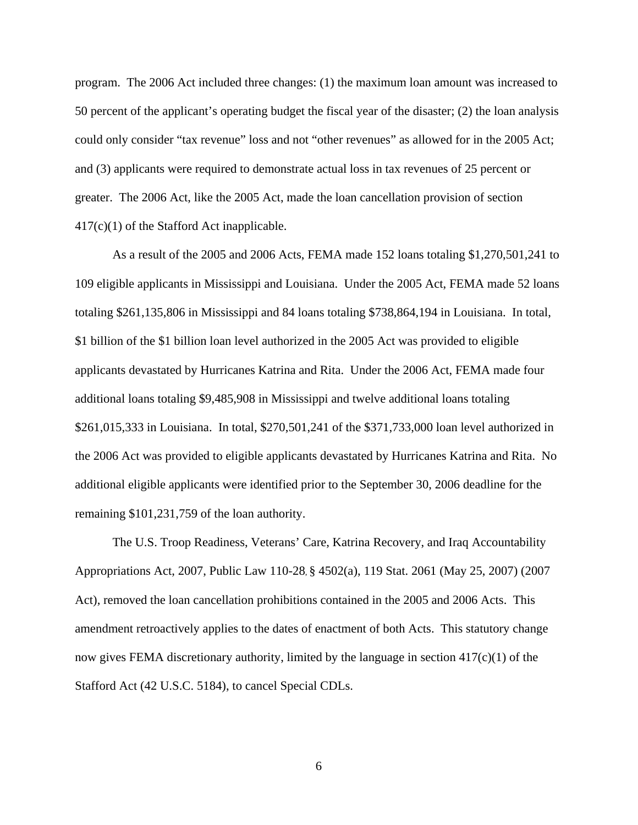program. The 2006 Act included three changes: (1) the maximum loan amount was increased to 50 percent of the applicant's operating budget the fiscal year of the disaster; (2) the loan analysis could only consider "tax revenue" loss and not "other revenues" as allowed for in the 2005 Act; and (3) applicants were required to demonstrate actual loss in tax revenues of 25 percent or greater. The 2006 Act, like the 2005 Act, made the loan cancellation provision of section 417(c)(1) of the Stafford Act inapplicable.

As a result of the 2005 and 2006 Acts, FEMA made 152 loans totaling \$1,270,501,241 to 109 eligible applicants in Mississippi and Louisiana. Under the 2005 Act, FEMA made 52 loans totaling \$261,135,806 in Mississippi and 84 loans totaling \$738,864,194 in Louisiana. In total, \$1 billion of the \$1 billion loan level authorized in the 2005 Act was provided to eligible applicants devastated by Hurricanes Katrina and Rita. Under the 2006 Act, FEMA made four additional loans totaling \$9,485,908 in Mississippi and twelve additional loans totaling \$261,015,333 in Louisiana. In total, \$270,501,241 of the \$371,733,000 loan level authorized in the 2006 Act was provided to eligible applicants devastated by Hurricanes Katrina and Rita. No additional eligible applicants were identified prior to the September 30, 2006 deadline for the remaining \$101,231,759 of the loan authority.

The U.S. Troop Readiness, Veterans' Care, Katrina Recovery, and Iraq Accountability Appropriations Act, 2007, Public Law 110-28, § 4502(a), 119 Stat. 2061 (May 25, 2007) (2007 Act), removed the loan cancellation prohibitions contained in the 2005 and 2006 Acts. This amendment retroactively applies to the dates of enactment of both Acts. This statutory change now gives FEMA discretionary authority, limited by the language in section 417(c)(1) of the Stafford Act (42 U.S.C. 5184), to cancel Special CDLs.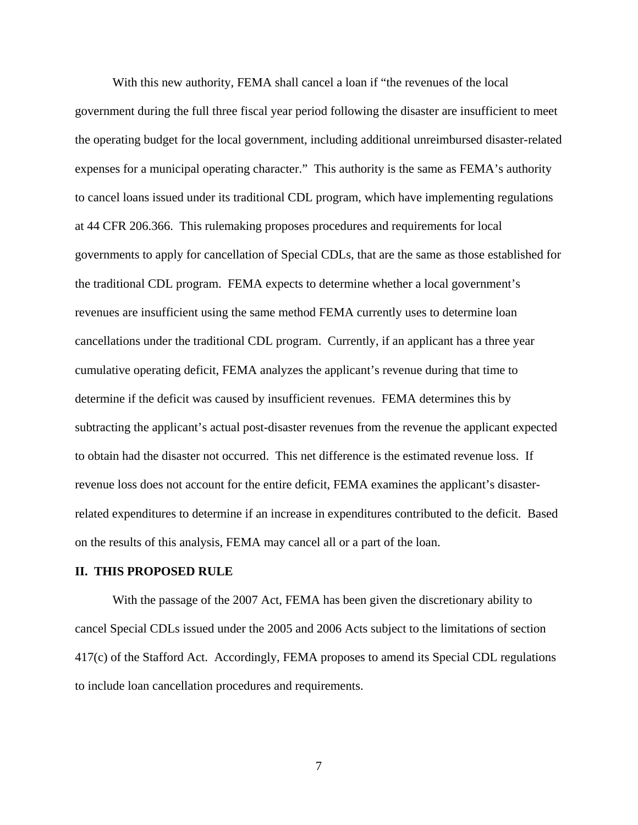With this new authority, FEMA shall cancel a loan if "the revenues of the local government during the full three fiscal year period following the disaster are insufficient to meet the operating budget for the local government, including additional unreimbursed disaster-related expenses for a municipal operating character." This authority is the same as FEMA's authority to cancel loans issued under its traditional CDL program, which have implementing regulations at 44 CFR 206.366. This rulemaking proposes procedures and requirements for local governments to apply for cancellation of Special CDLs, that are the same as those established for the traditional CDL program. FEMA expects to determine whether a local government's revenues are insufficient using the same method FEMA currently uses to determine loan cancellations under the traditional CDL program. Currently, if an applicant has a three year cumulative operating deficit, FEMA analyzes the applicant's revenue during that time to determine if the deficit was caused by insufficient revenues. FEMA determines this by subtracting the applicant's actual post-disaster revenues from the revenue the applicant expected to obtain had the disaster not occurred. This net difference is the estimated revenue loss. If revenue loss does not account for the entire deficit, FEMA examines the applicant's disasterrelated expenditures to determine if an increase in expenditures contributed to the deficit. Based on the results of this analysis, FEMA may cancel all or a part of the loan.

### **II. THIS PROPOSED RULE**

With the passage of the 2007 Act, FEMA has been given the discretionary ability to cancel Special CDLs issued under the 2005 and 2006 Acts subject to the limitations of section 417(c) of the Stafford Act. Accordingly, FEMA proposes to amend its Special CDL regulations to include loan cancellation procedures and requirements.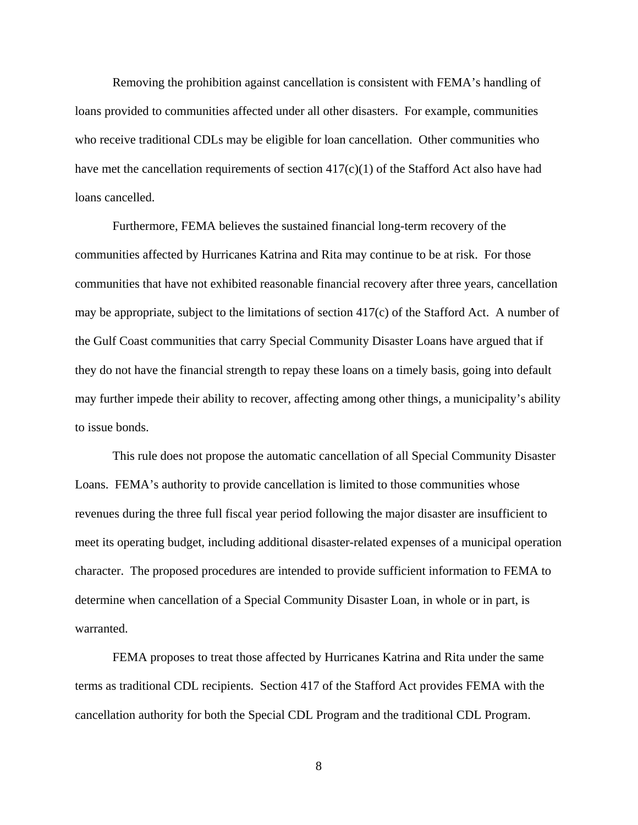Removing the prohibition against cancellation is consistent with FEMA's handling of loans provided to communities affected under all other disasters. For example, communities who receive traditional CDLs may be eligible for loan cancellation. Other communities who have met the cancellation requirements of section 417(c)(1) of the Stafford Act also have had loans cancelled.

Furthermore, FEMA believes the sustained financial long-term recovery of the communities affected by Hurricanes Katrina and Rita may continue to be at risk. For those communities that have not exhibited reasonable financial recovery after three years, cancellation may be appropriate, subject to the limitations of section 417(c) of the Stafford Act. A number of the Gulf Coast communities that carry Special Community Disaster Loans have argued that if they do not have the financial strength to repay these loans on a timely basis, going into default may further impede their ability to recover, affecting among other things, a municipality's ability to issue bonds.

This rule does not propose the automatic cancellation of all Special Community Disaster Loans. FEMA's authority to provide cancellation is limited to those communities whose revenues during the three full fiscal year period following the major disaster are insufficient to meet its operating budget, including additional disaster-related expenses of a municipal operation character. The proposed procedures are intended to provide sufficient information to FEMA to determine when cancellation of a Special Community Disaster Loan, in whole or in part, is warranted.

FEMA proposes to treat those affected by Hurricanes Katrina and Rita under the same terms as traditional CDL recipients. Section 417 of the Stafford Act provides FEMA with the cancellation authority for both the Special CDL Program and the traditional CDL Program.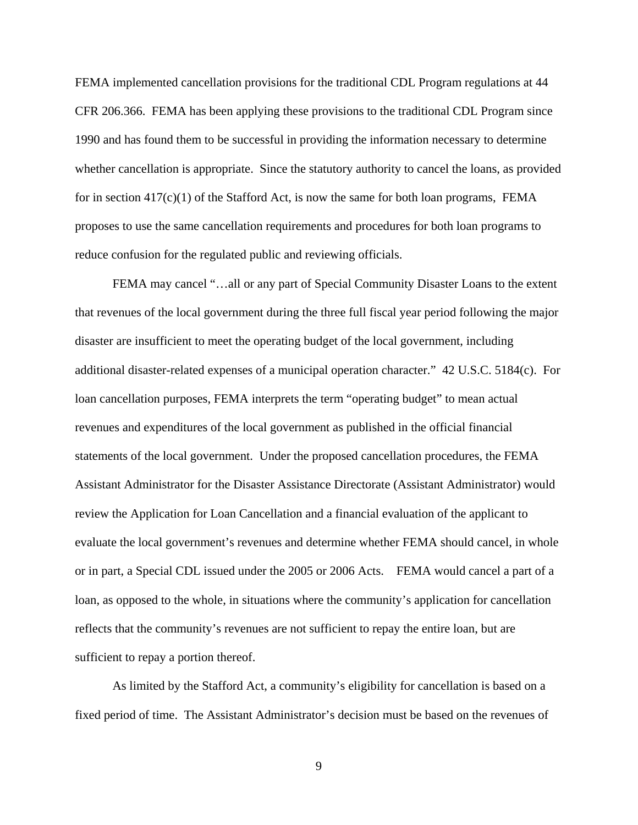FEMA implemented cancellation provisions for the traditional CDL Program regulations at 44 CFR 206.366. FEMA has been applying these provisions to the traditional CDL Program since 1990 and has found them to be successful in providing the information necessary to determine whether cancellation is appropriate. Since the statutory authority to cancel the loans, as provided for in section  $417(c)(1)$  of the Stafford Act, is now the same for both loan programs, FEMA proposes to use the same cancellation requirements and procedures for both loan programs to reduce confusion for the regulated public and reviewing officials.

FEMA may cancel "...all or any part of Special Community Disaster Loans to the extent that revenues of the local government during the three full fiscal year period following the major disaster are insufficient to meet the operating budget of the local government, including additional disaster-related expenses of a municipal operation character." 42 U.S.C. 5184(c). For loan cancellation purposes, FEMA interprets the term "operating budget" to mean actual revenues and expenditures of the local government as published in the official financial statements of the local government. Under the proposed cancellation procedures, the FEMA Assistant Administrator for the Disaster Assistance Directorate (Assistant Administrator) would review the Application for Loan Cancellation and a financial evaluation of the applicant to evaluate the local government's revenues and determine whether FEMA should cancel, in whole or in part, a Special CDL issued under the 2005 or 2006 Acts. FEMA would cancel a part of a loan, as opposed to the whole, in situations where the community's application for cancellation reflects that the community's revenues are not sufficient to repay the entire loan, but are sufficient to repay a portion thereof.

As limited by the Stafford Act, a community's eligibility for cancellation is based on a fixed period of time. The Assistant Administrator's decision must be based on the revenues of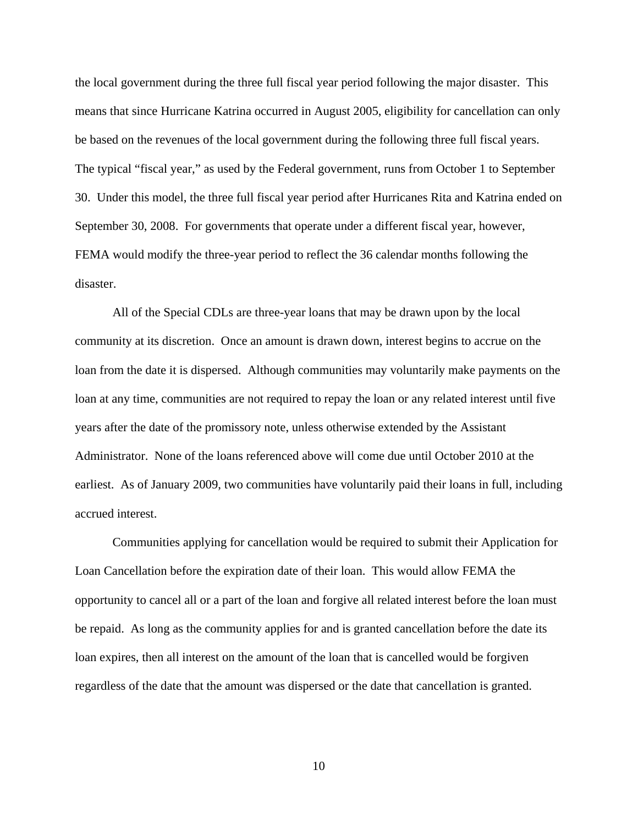the local government during the three full fiscal year period following the major disaster. This means that since Hurricane Katrina occurred in August 2005, eligibility for cancellation can only be based on the revenues of the local government during the following three full fiscal years. The typical "fiscal year," as used by the Federal government, runs from October 1 to September 30. Under this model, the three full fiscal year period after Hurricanes Rita and Katrina ended on September 30, 2008. For governments that operate under a different fiscal year, however, FEMA would modify the three-year period to reflect the 36 calendar months following the disaster.

All of the Special CDLs are three-year loans that may be drawn upon by the local community at its discretion. Once an amount is drawn down, interest begins to accrue on the loan from the date it is dispersed. Although communities may voluntarily make payments on the loan at any time, communities are not required to repay the loan or any related interest until five years after the date of the promissory note, unless otherwise extended by the Assistant Administrator. None of the loans referenced above will come due until October 2010 at the earliest. As of January 2009, two communities have voluntarily paid their loans in full, including accrued interest.

Communities applying for cancellation would be required to submit their Application for Loan Cancellation before the expiration date of their loan. This would allow FEMA the opportunity to cancel all or a part of the loan and forgive all related interest before the loan must be repaid. As long as the community applies for and is granted cancellation before the date its loan expires, then all interest on the amount of the loan that is cancelled would be forgiven regardless of the date that the amount was dispersed or the date that cancellation is granted.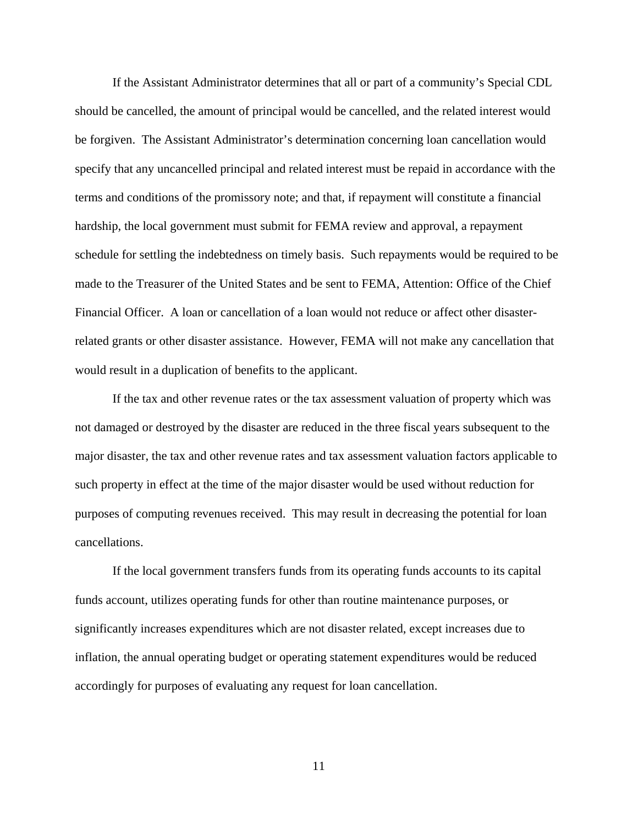If the Assistant Administrator determines that all or part of a community's Special CDL should be cancelled, the amount of principal would be cancelled, and the related interest would be forgiven. The Assistant Administrator's determination concerning loan cancellation would specify that any uncancelled principal and related interest must be repaid in accordance with the terms and conditions of the promissory note; and that, if repayment will constitute a financial hardship, the local government must submit for FEMA review and approval, a repayment schedule for settling the indebtedness on timely basis. Such repayments would be required to be made to the Treasurer of the United States and be sent to FEMA, Attention: Office of the Chief Financial Officer. A loan or cancellation of a loan would not reduce or affect other disasterrelated grants or other disaster assistance. However, FEMA will not make any cancellation that would result in a duplication of benefits to the applicant.

If the tax and other revenue rates or the tax assessment valuation of property which was not damaged or destroyed by the disaster are reduced in the three fiscal years subsequent to the major disaster, the tax and other revenue rates and tax assessment valuation factors applicable to such property in effect at the time of the major disaster would be used without reduction for purposes of computing revenues received. This may result in decreasing the potential for loan cancellations.

If the local government transfers funds from its operating funds accounts to its capital funds account, utilizes operating funds for other than routine maintenance purposes, or significantly increases expenditures which are not disaster related, except increases due to inflation, the annual operating budget or operating statement expenditures would be reduced accordingly for purposes of evaluating any request for loan cancellation.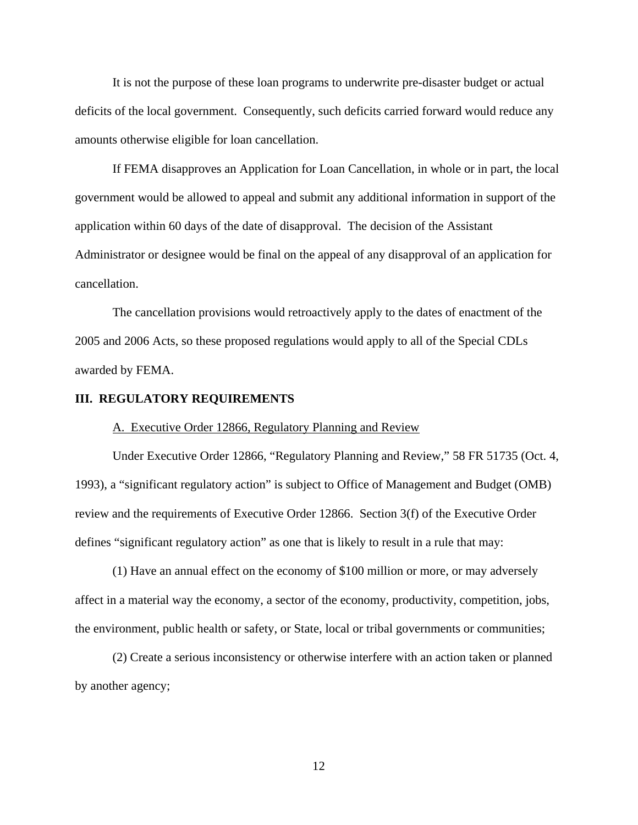It is not the purpose of these loan programs to underwrite pre-disaster budget or actual deficits of the local government. Consequently, such deficits carried forward would reduce any amounts otherwise eligible for loan cancellation.

If FEMA disapproves an Application for Loan Cancellation, in whole or in part, the local government would be allowed to appeal and submit any additional information in support of the application within 60 days of the date of disapproval. The decision of the Assistant Administrator or designee would be final on the appeal of any disapproval of an application for cancellation.

The cancellation provisions would retroactively apply to the dates of enactment of the 2005 and 2006 Acts, so these proposed regulations would apply to all of the Special CDLs awarded by FEMA.

### **III. REGULATORY REQUIREMENTS**

A. Executive Order 12866, Regulatory Planning and Review

Under Executive Order 12866, "Regulatory Planning and Review," 58 FR 51735 (Oct. 4, 1993), a "significant regulatory action" is subject to Office of Management and Budget (OMB) review and the requirements of Executive Order 12866. Section 3(f) of the Executive Order defines "significant regulatory action" as one that is likely to result in a rule that may:

(1) Have an annual effect on the economy of \$100 million or more, or may adversely affect in a material way the economy, a sector of the economy, productivity, competition, jobs, the environment, public health or safety, or State, local or tribal governments or communities;

(2) Create a serious inconsistency or otherwise interfere with an action taken or planned by another agency;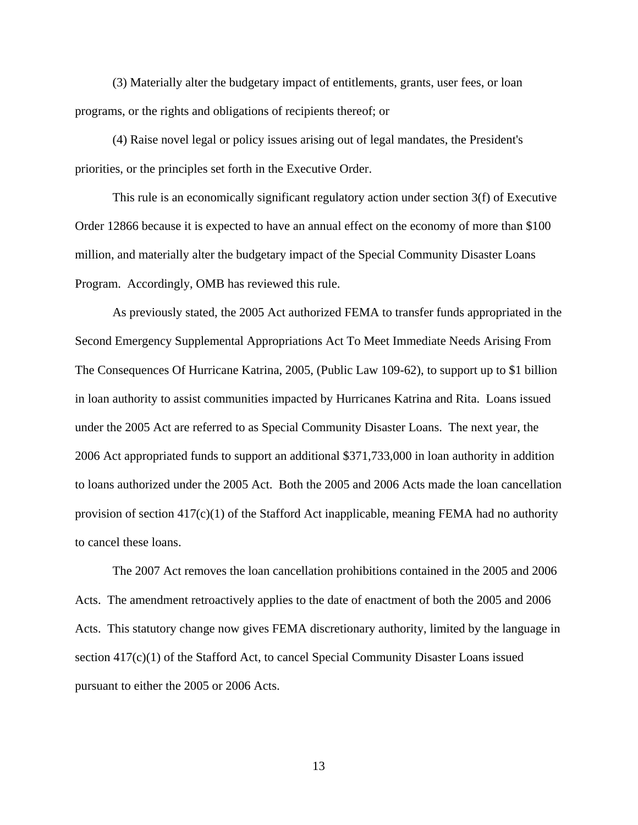(3) Materially alter the budgetary impact of entitlements, grants, user fees, or loan programs, or the rights and obligations of recipients thereof; or

(4) Raise novel legal or policy issues arising out of legal mandates, the President's priorities, or the principles set forth in the Executive Order.

This rule is an economically significant regulatory action under section 3(f) of Executive Order 12866 because it is expected to have an annual effect on the economy of more than \$100 million, and materially alter the budgetary impact of the Special Community Disaster Loans Program. Accordingly, OMB has reviewed this rule.

As previously stated, the 2005 Act authorized FEMA to transfer funds appropriated in the Second Emergency Supplemental Appropriations Act To Meet Immediate Needs Arising From The Consequences Of Hurricane Katrina, 2005, (Public Law 109-62), to support up to \$1 billion in loan authority to assist communities impacted by Hurricanes Katrina and Rita. Loans issued under the 2005 Act are referred to as Special Community Disaster Loans. The next year, the 2006 Act appropriated funds to support an additional \$371,733,000 in loan authority in addition to loans authorized under the 2005 Act. Both the 2005 and 2006 Acts made the loan cancellation provision of section  $417(c)(1)$  of the Stafford Act inapplicable, meaning FEMA had no authority to cancel these loans.

The 2007 Act removes the loan cancellation prohibitions contained in the 2005 and 2006 Acts. The amendment retroactively applies to the date of enactment of both the 2005 and 2006 Acts. This statutory change now gives FEMA discretionary authority, limited by the language in section 417(c)(1) of the Stafford Act, to cancel Special Community Disaster Loans issued pursuant to either the 2005 or 2006 Acts.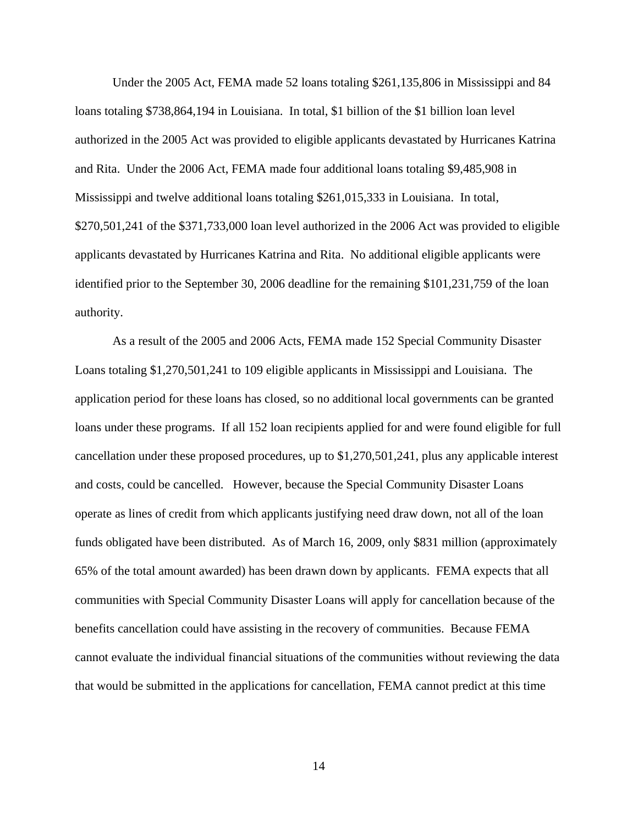Under the 2005 Act, FEMA made 52 loans totaling \$261,135,806 in Mississippi and 84 loans totaling \$738,864,194 in Louisiana. In total, \$1 billion of the \$1 billion loan level authorized in the 2005 Act was provided to eligible applicants devastated by Hurricanes Katrina and Rita. Under the 2006 Act, FEMA made four additional loans totaling \$9,485,908 in Mississippi and twelve additional loans totaling \$261,015,333 in Louisiana. In total, \$270,501,241 of the \$371,733,000 loan level authorized in the 2006 Act was provided to eligible applicants devastated by Hurricanes Katrina and Rita. No additional eligible applicants were identified prior to the September 30, 2006 deadline for the remaining \$101,231,759 of the loan authority.

As a result of the 2005 and 2006 Acts, FEMA made 152 Special Community Disaster Loans totaling \$1,270,501,241 to 109 eligible applicants in Mississippi and Louisiana. The application period for these loans has closed, so no additional local governments can be granted loans under these programs. If all 152 loan recipients applied for and were found eligible for full cancellation under these proposed procedures, up to \$1,270,501,241, plus any applicable interest and costs, could be cancelled. However, because the Special Community Disaster Loans operate as lines of credit from which applicants justifying need draw down, not all of the loan funds obligated have been distributed. As of March 16, 2009, only \$831 million (approximately 65% of the total amount awarded) has been drawn down by applicants. FEMA expects that all communities with Special Community Disaster Loans will apply for cancellation because of the benefits cancellation could have assisting in the recovery of communities. Because FEMA cannot evaluate the individual financial situations of the communities without reviewing the data that would be submitted in the applications for cancellation, FEMA cannot predict at this time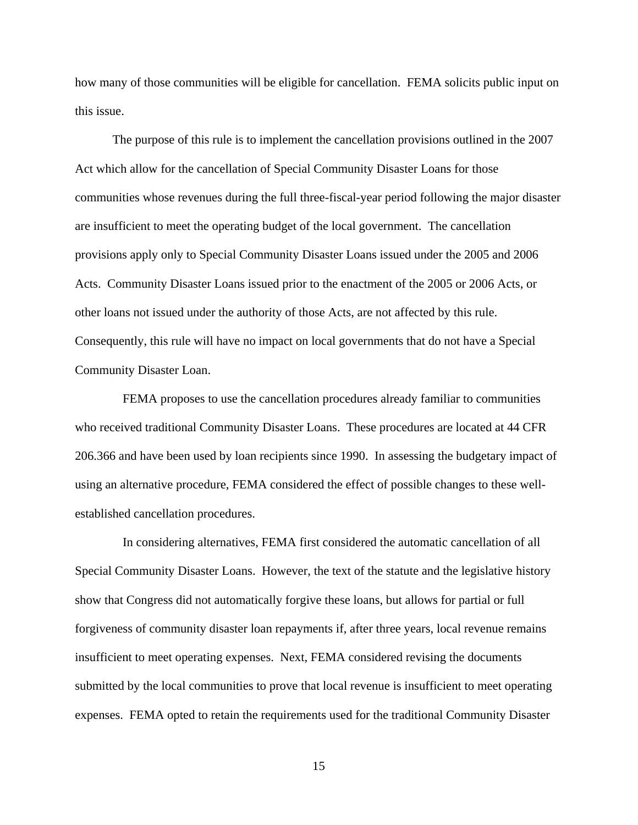how many of those communities will be eligible for cancellation. FEMA solicits public input on this issue.

The purpose of this rule is to implement the cancellation provisions outlined in the 2007 Act which allow for the cancellation of Special Community Disaster Loans for those communities whose revenues during the full three-fiscal-year period following the major disaster are insufficient to meet the operating budget of the local government. The cancellation provisions apply only to Special Community Disaster Loans issued under the 2005 and 2006 Acts. Community Disaster Loans issued prior to the enactment of the 2005 or 2006 Acts, or other loans not issued under the authority of those Acts, are not affected by this rule. Consequently, this rule will have no impact on local governments that do not have a Special Community Disaster Loan.

FEMA proposes to use the cancellation procedures already familiar to communities who received traditional Community Disaster Loans. These procedures are located at 44 CFR 206.366 and have been used by loan recipients since 1990. In assessing the budgetary impact of using an alternative procedure, FEMA considered the effect of possible changes to these wellestablished cancellation procedures.

In considering alternatives, FEMA first considered the automatic cancellation of all Special Community Disaster Loans. However, the text of the statute and the legislative history show that Congress did not automatically forgive these loans, but allows for partial or full forgiveness of community disaster loan repayments if, after three years, local revenue remains insufficient to meet operating expenses. Next, FEMA considered revising the documents submitted by the local communities to prove that local revenue is insufficient to meet operating expenses. FEMA opted to retain the requirements used for the traditional Community Disaster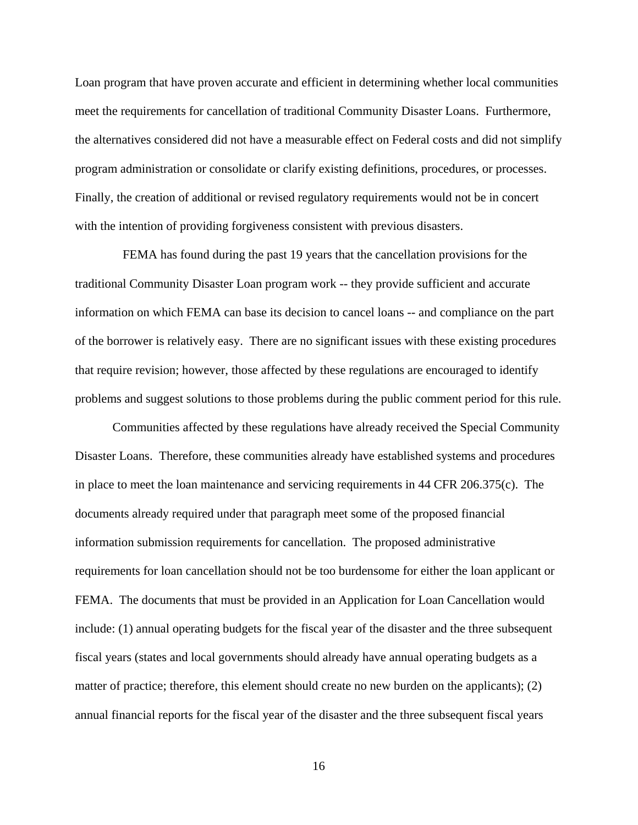Loan program that have proven accurate and efficient in determining whether local communities meet the requirements for cancellation of traditional Community Disaster Loans. Furthermore, the alternatives considered did not have a measurable effect on Federal costs and did not simplify program administration or consolidate or clarify existing definitions, procedures, or processes. Finally, the creation of additional or revised regulatory requirements would not be in concert with the intention of providing forgiveness consistent with previous disasters.

FEMA has found during the past 19 years that the cancellation provisions for the traditional Community Disaster Loan program work -- they provide sufficient and accurate information on which FEMA can base its decision to cancel loans -- and compliance on the part of the borrower is relatively easy. There are no significant issues with these existing procedures that require revision; however, those affected by these regulations are encouraged to identify problems and suggest solutions to those problems during the public comment period for this rule.

Communities affected by these regulations have already received the Special Community Disaster Loans. Therefore, these communities already have established systems and procedures in place to meet the loan maintenance and servicing requirements in 44 CFR 206.375(c). The documents already required under that paragraph meet some of the proposed financial information submission requirements for cancellation. The proposed administrative requirements for loan cancellation should not be too burdensome for either the loan applicant or FEMA. The documents that must be provided in an Application for Loan Cancellation would include: (1) annual operating budgets for the fiscal year of the disaster and the three subsequent fiscal years (states and local governments should already have annual operating budgets as a matter of practice; therefore, this element should create no new burden on the applicants); (2) annual financial reports for the fiscal year of the disaster and the three subsequent fiscal years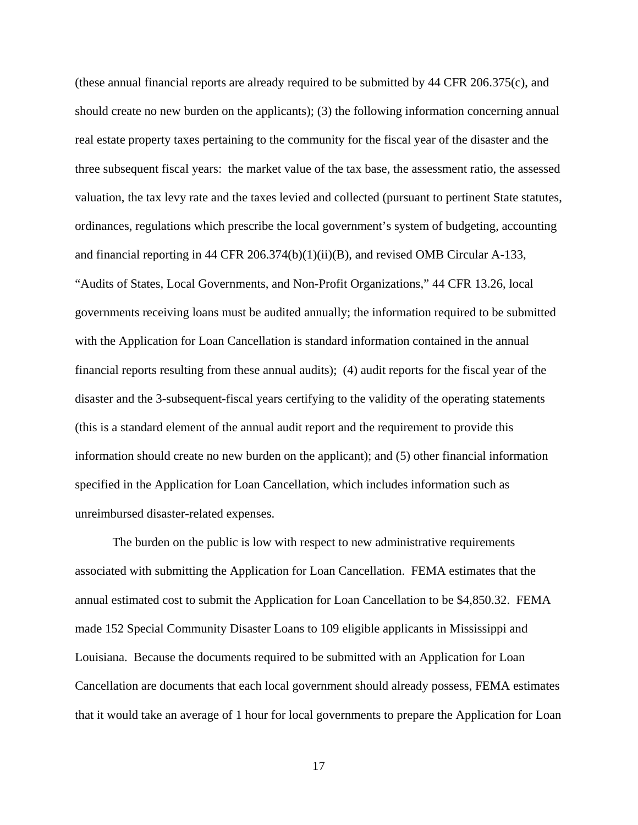(these annual financial reports are already required to be submitted by 44 CFR 206.375(c), and should create no new burden on the applicants); (3) the following information concerning annual real estate property taxes pertaining to the community for the fiscal year of the disaster and the three subsequent fiscal years: the market value of the tax base, the assessment ratio, the assessed valuation, the tax levy rate and the taxes levied and collected (pursuant to pertinent State statutes, ordinances, regulations which prescribe the local government's system of budgeting, accounting and financial reporting in 44 CFR 206.374(b)(1)(ii)(B), and revised OMB Circular A-133, "Audits of States, Local Governments, and Non-Profit Organizations," 44 CFR 13.26, local governments receiving loans must be audited annually; the information required to be submitted with the Application for Loan Cancellation is standard information contained in the annual financial reports resulting from these annual audits); (4) audit reports for the fiscal year of the disaster and the 3-subsequent-fiscal years certifying to the validity of the operating statements (this is a standard element of the annual audit report and the requirement to provide this information should create no new burden on the applicant); and (5) other financial information specified in the Application for Loan Cancellation, which includes information such as unreimbursed disaster-related expenses.

The burden on the public is low with respect to new administrative requirements associated with submitting the Application for Loan Cancellation. FEMA estimates that the annual estimated cost to submit the Application for Loan Cancellation to be \$4,850.32. FEMA made 152 Special Community Disaster Loans to 109 eligible applicants in Mississippi and Louisiana. Because the documents required to be submitted with an Application for Loan Cancellation are documents that each local government should already possess, FEMA estimates that it would take an average of 1 hour for local governments to prepare the Application for Loan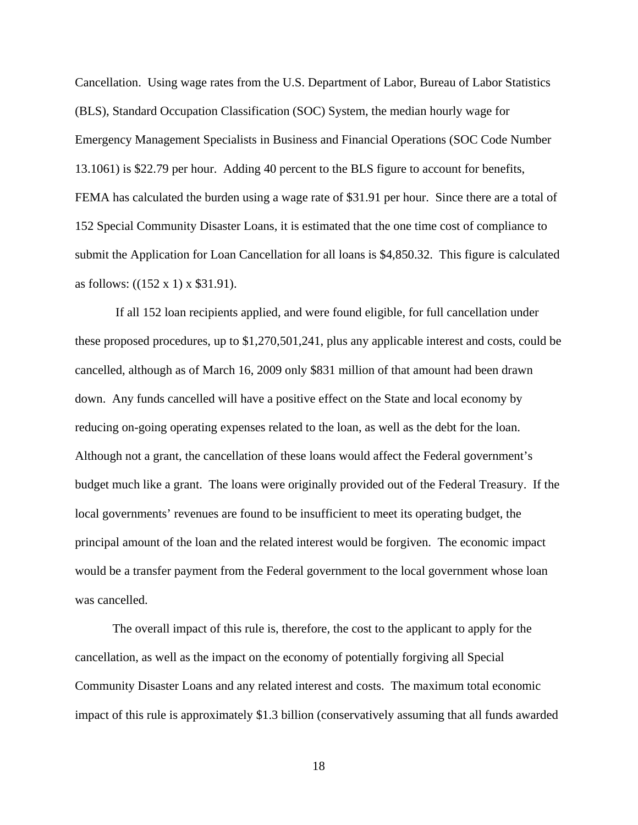Cancellation. Using wage rates from the U.S. Department of Labor, Bureau of Labor Statistics (BLS), Standard Occupation Classification (SOC) System, the median hourly wage for Emergency Management Specialists in Business and Financial Operations (SOC Code Number 13.1061) is \$22.79 per hour. Adding 40 percent to the BLS figure to account for benefits, FEMA has calculated the burden using a wage rate of \$31.91 per hour. Since there are a total of 152 Special Community Disaster Loans, it is estimated that the one time cost of compliance to submit the Application for Loan Cancellation for all loans is \$4,850.32. This figure is calculated as follows: ((152 x 1) x \$31.91).

 If all 152 loan recipients applied, and were found eligible, for full cancellation under these proposed procedures, up to \$1,270,501,241, plus any applicable interest and costs, could be cancelled, although as of March 16, 2009 only \$831 million of that amount had been drawn down. Any funds cancelled will have a positive effect on the State and local economy by reducing on-going operating expenses related to the loan, as well as the debt for the loan. Although not a grant, the cancellation of these loans would affect the Federal government's budget much like a grant. The loans were originally provided out of the Federal Treasury. If the local governments' revenues are found to be insufficient to meet its operating budget, the principal amount of the loan and the related interest would be forgiven. The economic impact would be a transfer payment from the Federal government to the local government whose loan was cancelled.

The overall impact of this rule is, therefore, the cost to the applicant to apply for the cancellation, as well as the impact on the economy of potentially forgiving all Special Community Disaster Loans and any related interest and costs. The maximum total economic impact of this rule is approximately \$1.3 billion (conservatively assuming that all funds awarded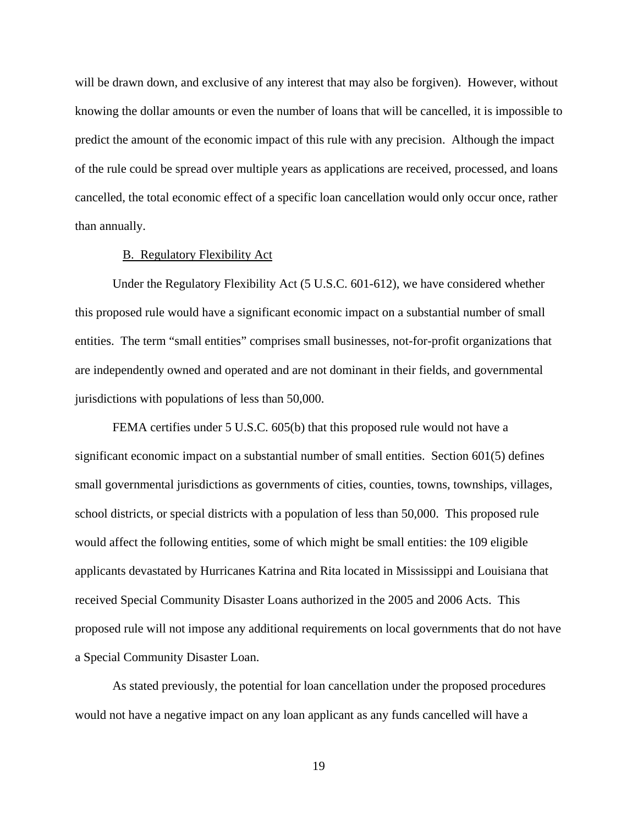will be drawn down, and exclusive of any interest that may also be forgiven). However, without knowing the dollar amounts or even the number of loans that will be cancelled, it is impossible to predict the amount of the economic impact of this rule with any precision. Although the impact of the rule could be spread over multiple years as applications are received, processed, and loans cancelled, the total economic effect of a specific loan cancellation would only occur once, rather than annually.

## B. Regulatory Flexibility Act

Under the Regulatory Flexibility Act (5 U.S.C. 601-612), we have considered whether this proposed rule would have a significant economic impact on a substantial number of small entities. The term "small entities" comprises small businesses, not-for-profit organizations that are independently owned and operated and are not dominant in their fields, and governmental jurisdictions with populations of less than 50,000.

FEMA certifies under 5 U.S.C. 605(b) that this proposed rule would not have a significant economic impact on a substantial number of small entities. Section 601(5) defines small governmental jurisdictions as governments of cities, counties, towns, townships, villages, school districts, or special districts with a population of less than 50,000. This proposed rule would affect the following entities, some of which might be small entities: the 109 eligible applicants devastated by Hurricanes Katrina and Rita located in Mississippi and Louisiana that received Special Community Disaster Loans authorized in the 2005 and 2006 Acts. This proposed rule will not impose any additional requirements on local governments that do not have a Special Community Disaster Loan.

As stated previously, the potential for loan cancellation under the proposed procedures would not have a negative impact on any loan applicant as any funds cancelled will have a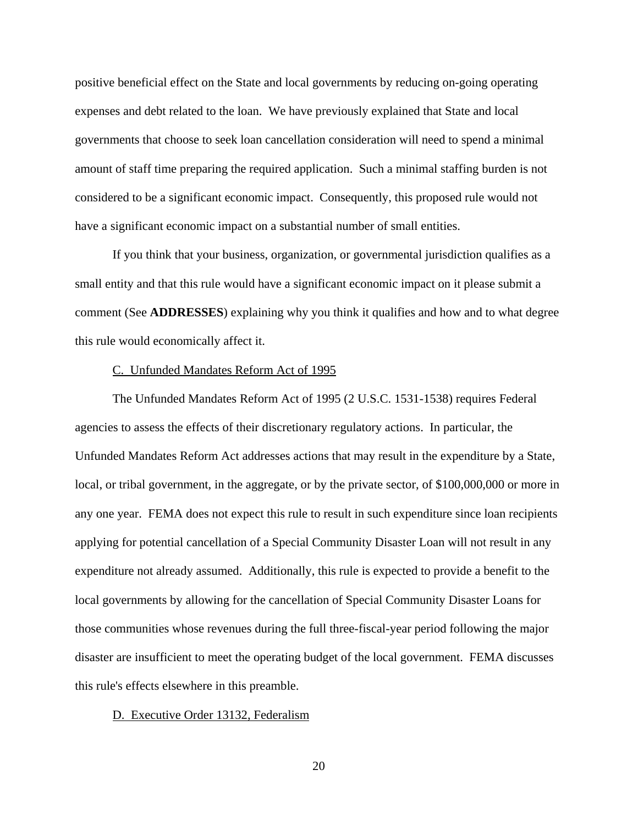positive beneficial effect on the State and local governments by reducing on-going operating expenses and debt related to the loan. We have previously explained that State and local governments that choose to seek loan cancellation consideration will need to spend a minimal amount of staff time preparing the required application. Such a minimal staffing burden is not considered to be a significant economic impact. Consequently, this proposed rule would not have a significant economic impact on a substantial number of small entities.

If you think that your business, organization, or governmental jurisdiction qualifies as a small entity and that this rule would have a significant economic impact on it please submit a comment (See **ADDRESSES**) explaining why you think it qualifies and how and to what degree this rule would economically affect it.

### C. Unfunded Mandates Reform Act of 1995

The Unfunded Mandates Reform Act of 1995 (2 U.S.C. 1531-1538) requires Federal agencies to assess the effects of their discretionary regulatory actions. In particular, the Unfunded Mandates Reform Act addresses actions that may result in the expenditure by a State, local, or tribal government, in the aggregate, or by the private sector, of \$100,000,000 or more in any one year. FEMA does not expect this rule to result in such expenditure since loan recipients applying for potential cancellation of a Special Community Disaster Loan will not result in any expenditure not already assumed. Additionally, this rule is expected to provide a benefit to the local governments by allowing for the cancellation of Special Community Disaster Loans for those communities whose revenues during the full three-fiscal-year period following the major disaster are insufficient to meet the operating budget of the local government. FEMA discusses this rule's effects elsewhere in this preamble.

#### D. Executive Order 13132, Federalism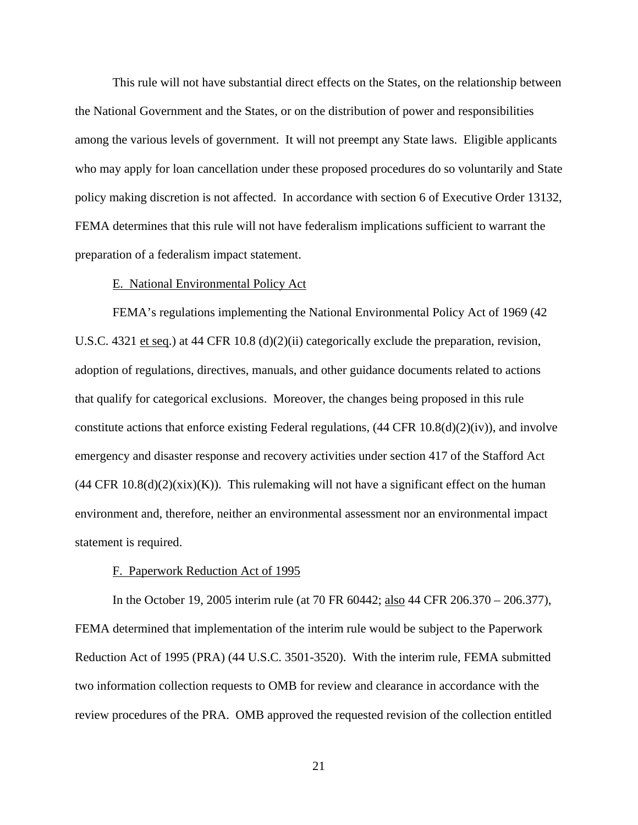This rule will not have substantial direct effects on the States, on the relationship between the National Government and the States, or on the distribution of power and responsibilities among the various levels of government. It will not preempt any State laws. Eligible applicants who may apply for loan cancellation under these proposed procedures do so voluntarily and State policy making discretion is not affected. In accordance with section 6 of Executive Order 13132, FEMA determines that this rule will not have federalism implications sufficient to warrant the preparation of a federalism impact statement.

### E. National Environmental Policy Act

FEMA's regulations implementing the National Environmental Policy Act of 1969 (42 U.S.C. 4321 et seq.) at 44 CFR 10.8 (d)(2)(ii) categorically exclude the preparation, revision, adoption of regulations, directives, manuals, and other guidance documents related to actions that qualify for categorical exclusions. Moreover, the changes being proposed in this rule constitute actions that enforce existing Federal regulations, (44 CFR 10.8(d)(2)(iv)), and involve emergency and disaster response and recovery activities under section 417 of the Stafford Act  $(44 \text{ CFR } 10.8(d)(2)(xix)(K))$ . This rulemaking will not have a significant effect on the human environment and, therefore, neither an environmental assessment nor an environmental impact statement is required.

#### F. Paperwork Reduction Act of 1995

In the October 19, 2005 interim rule (at 70 FR 60442; also 44 CFR 206.370 – 206.377), FEMA determined that implementation of the interim rule would be subject to the Paperwork Reduction Act of 1995 (PRA) (44 U.S.C. 3501-3520). With the interim rule, FEMA submitted two information collection requests to OMB for review and clearance in accordance with the review procedures of the PRA. OMB approved the requested revision of the collection entitled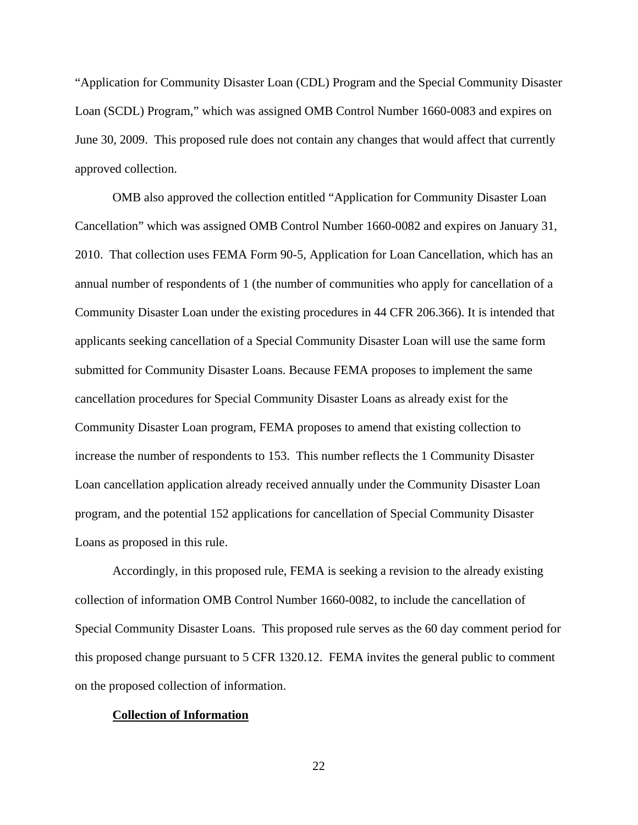"Application for Community Disaster Loan (CDL) Program and the Special Community Disaster Loan (SCDL) Program," which was assigned OMB Control Number 1660-0083 and expires on June 30, 2009. This proposed rule does not contain any changes that would affect that currently approved collection.

OMB also approved the collection entitled "Application for Community Disaster Loan Cancellation" which was assigned OMB Control Number 1660-0082 and expires on January 31, 2010. That collection uses FEMA Form 90-5, Application for Loan Cancellation, which has an annual number of respondents of 1 (the number of communities who apply for cancellation of a Community Disaster Loan under the existing procedures in 44 CFR 206.366). It is intended that applicants seeking cancellation of a Special Community Disaster Loan will use the same form submitted for Community Disaster Loans. Because FEMA proposes to implement the same cancellation procedures for Special Community Disaster Loans as already exist for the Community Disaster Loan program, FEMA proposes to amend that existing collection to increase the number of respondents to 153. This number reflects the 1 Community Disaster Loan cancellation application already received annually under the Community Disaster Loan program, and the potential 152 applications for cancellation of Special Community Disaster Loans as proposed in this rule.

Accordingly, in this proposed rule, FEMA is seeking a revision to the already existing collection of information OMB Control Number 1660-0082, to include the cancellation of Special Community Disaster Loans. This proposed rule serves as the 60 day comment period for this proposed change pursuant to 5 CFR 1320.12. FEMA invites the general public to comment on the proposed collection of information.

#### **Collection of Information**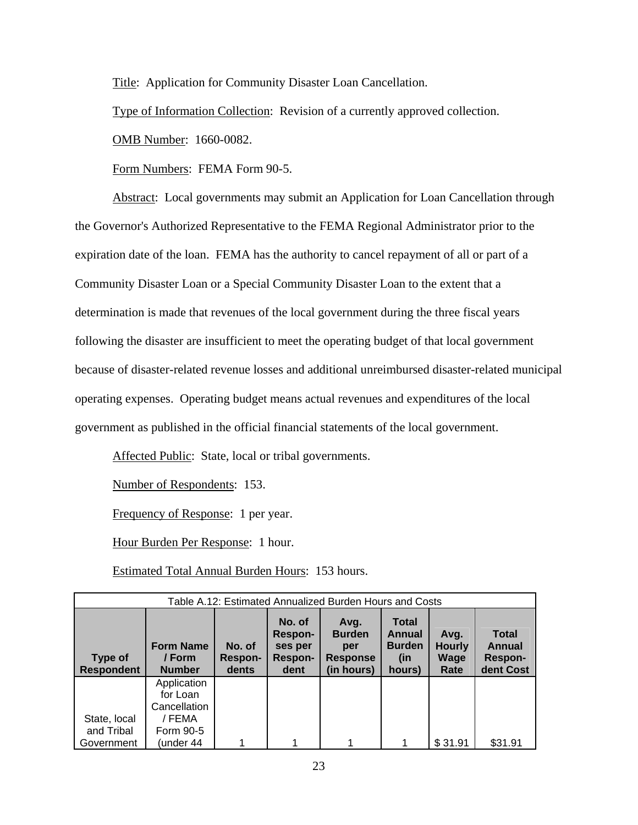Title: Application for Community Disaster Loan Cancellation.

Type of Information Collection: Revision of a currently approved collection.

OMB Number: 1660-0082.

Form Numbers: FEMA Form 90-5.

Abstract: Local governments may submit an Application for Loan Cancellation through the Governor's Authorized Representative to the FEMA Regional Administrator prior to the expiration date of the loan. FEMA has the authority to cancel repayment of all or part of a Community Disaster Loan or a Special Community Disaster Loan to the extent that a determination is made that revenues of the local government during the three fiscal years following the disaster are insufficient to meet the operating budget of that local government because of disaster-related revenue losses and additional unreimbursed disaster-related municipal operating expenses. Operating budget means actual revenues and expenditures of the local government as published in the official financial statements of the local government.

Affected Public: State, local or tribal governments.

Number of Respondents: 153.

Frequency of Response: 1 per year.

Hour Burden Per Response: 1 hour.

Estimated Total Annual Burden Hours: 153 hours.

| Table A.12: Estimated Annualized Burden Hours and Costs |                                             |                                   |                                                        |                                                               |                                                          |                                       |                                                              |  |  |  |
|---------------------------------------------------------|---------------------------------------------|-----------------------------------|--------------------------------------------------------|---------------------------------------------------------------|----------------------------------------------------------|---------------------------------------|--------------------------------------------------------------|--|--|--|
| Type of<br><b>Respondent</b>                            | <b>Form Name</b><br>/ Form<br><b>Number</b> | No. of<br><b>Respon-</b><br>dents | No. of<br>Respon-<br>ses per<br><b>Respon-</b><br>dent | Avg.<br><b>Burden</b><br>per<br><b>Response</b><br>(in hours) | Total<br><b>Annual</b><br><b>Burden</b><br>(in<br>hours) | Avg.<br><b>Hourly</b><br>Wage<br>Rate | <b>Total</b><br><b>Annual</b><br><b>Respon-</b><br>dent Cost |  |  |  |
|                                                         | Application<br>for Loan                     |                                   |                                                        |                                                               |                                                          |                                       |                                                              |  |  |  |
|                                                         | Cancellation                                |                                   |                                                        |                                                               |                                                          |                                       |                                                              |  |  |  |
| State, local<br>and Tribal<br>Government                | / FEMA<br>Form 90-5<br>under 44)            |                                   |                                                        |                                                               | 1                                                        | \$31.91                               | \$31.91                                                      |  |  |  |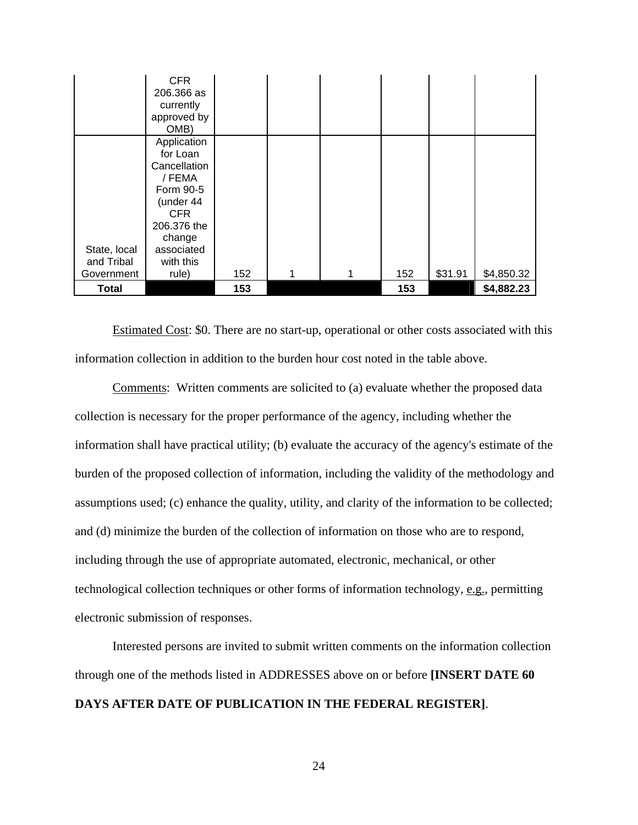|                                          | <b>CFR</b><br>206.366 as<br>currently<br>approved by<br>OMB)                                                                                     |     |   |     |         |            |
|------------------------------------------|--------------------------------------------------------------------------------------------------------------------------------------------------|-----|---|-----|---------|------------|
| State, local<br>and Tribal<br>Government | Application<br>for Loan<br>Cancellation<br>/ FEMA<br>Form 90-5<br>(under 44<br>CFR.<br>206.376 the<br>change<br>associated<br>with this<br>rule) | 152 | 1 | 152 | \$31.91 | \$4,850.32 |
| <b>Total</b>                             |                                                                                                                                                  | 153 |   | 153 |         | \$4,882.23 |

 Estimated Cost: \$0. There are no start-up, operational or other costs associated with this information collection in addition to the burden hour cost noted in the table above.

 Comments: Written comments are solicited to (a) evaluate whether the proposed data collection is necessary for the proper performance of the agency, including whether the information shall have practical utility; (b) evaluate the accuracy of the agency's estimate of the burden of the proposed collection of information, including the validity of the methodology and assumptions used; (c) enhance the quality, utility, and clarity of the information to be collected; and (d) minimize the burden of the collection of information on those who are to respond, including through the use of appropriate automated, electronic, mechanical, or other technological collection techniques or other forms of information technology, e.g., permitting electronic submission of responses.

Interested persons are invited to submit written comments on the information collection through one of the methods listed in ADDRESSES above on or before **[INSERT DATE 60 DAYS AFTER DATE OF PUBLICATION IN THE FEDERAL REGISTER]**.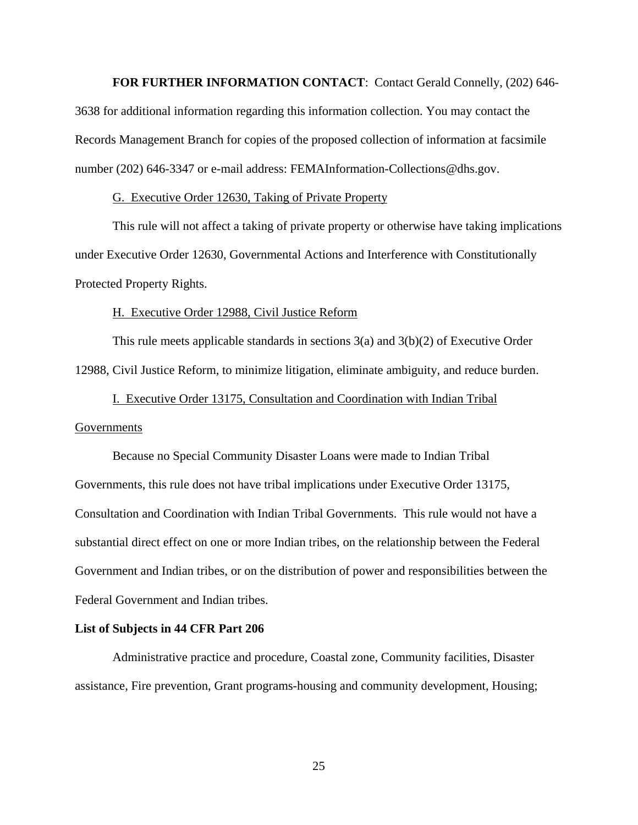**FOR FURTHER INFORMATION CONTACT**: Contact Gerald Connelly, (202) 646-

3638 for additional information regarding this information collection. You may contact the Records Management Branch for copies of the proposed collection of information at facsimile number (202) 646-3347 or e-mail address: FEMAInformation-Collections@dhs.gov.

## G. Executive Order 12630, Taking of Private Property

This rule will not affect a taking of private property or otherwise have taking implications under Executive Order 12630, Governmental Actions and Interference with Constitutionally Protected Property Rights.

#### H. Executive Order 12988, Civil Justice Reform

This rule meets applicable standards in sections 3(a) and 3(b)(2) of Executive Order 12988, Civil Justice Reform, to minimize litigation, eliminate ambiguity, and reduce burden.

# I. Executive Order 13175, Consultation and Coordination with Indian Tribal

### Governments

Because no Special Community Disaster Loans were made to Indian Tribal Governments, this rule does not have tribal implications under Executive Order 13175, Consultation and Coordination with Indian Tribal Governments. This rule would not have a substantial direct effect on one or more Indian tribes, on the relationship between the Federal Government and Indian tribes, or on the distribution of power and responsibilities between the Federal Government and Indian tribes.

# **List of Subjects in 44 CFR Part 206**

 Administrative practice and procedure, Coastal zone, Community facilities, Disaster assistance, Fire prevention, Grant programs-housing and community development, Housing;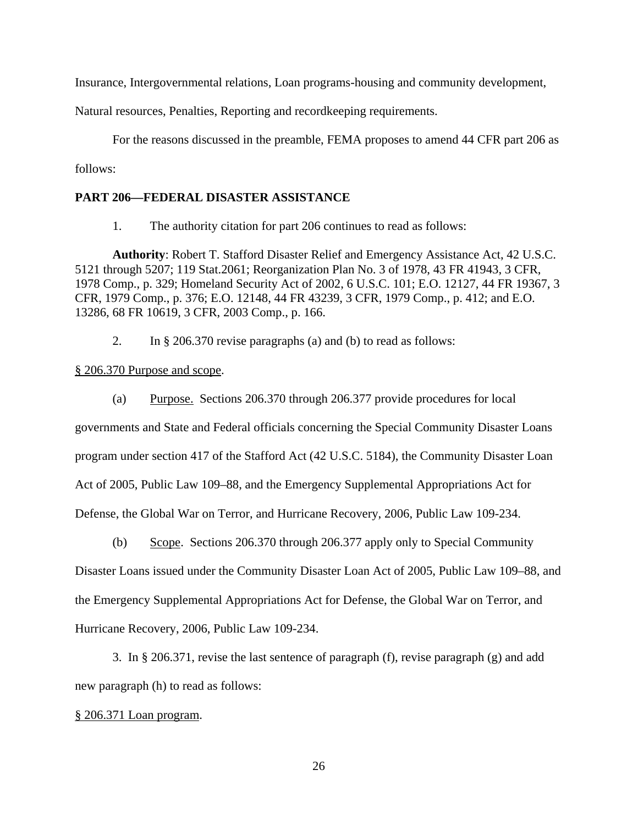Insurance, Intergovernmental relations, Loan programs-housing and community development,

Natural resources, Penalties, Reporting and recordkeeping requirements.

For the reasons discussed in the preamble, FEMA proposes to amend 44 CFR part 206 as follows:

# **PART 206—FEDERAL DISASTER ASSISTANCE**

1. The authority citation for part 206 continues to read as follows:

**Authority**: Robert T. Stafford Disaster Relief and Emergency Assistance Act, 42 U.S.C. 5121 through 5207; 119 Stat.2061; Reorganization Plan No. 3 of 1978, 43 FR 41943, 3 CFR, 1978 Comp., p. 329; Homeland Security Act of 2002, 6 U.S.C. 101; E.O. 12127, 44 FR 19367, 3 CFR, 1979 Comp., p. 376; E.O. 12148, 44 FR 43239, 3 CFR, 1979 Comp., p. 412; and E.O. 13286, 68 FR 10619, 3 CFR, 2003 Comp., p. 166.

2. In § 206.370 revise paragraphs (a) and (b) to read as follows:

## § 206.370 Purpose and scope.

(a) Purpose. Sections 206.370 through 206.377 provide procedures for local governments and State and Federal officials concerning the Special Community Disaster Loans program under section 417 of the Stafford Act (42 U.S.C. 5184), the Community Disaster Loan Act of 2005, Public Law 109–88, and the Emergency Supplemental Appropriations Act for Defense, the Global War on Terror, and Hurricane Recovery, 2006, Public Law 109-234.

(b) Scope. Sections 206.370 through 206.377 apply only to Special Community Disaster Loans issued under the Community Disaster Loan Act of 2005, Public Law 109–88, and the Emergency Supplemental Appropriations Act for Defense, the Global War on Terror, and Hurricane Recovery, 2006, Public Law 109-234.

3. In § 206.371, revise the last sentence of paragraph (f), revise paragraph (g) and add new paragraph (h) to read as follows:

## § 206.371 Loan program.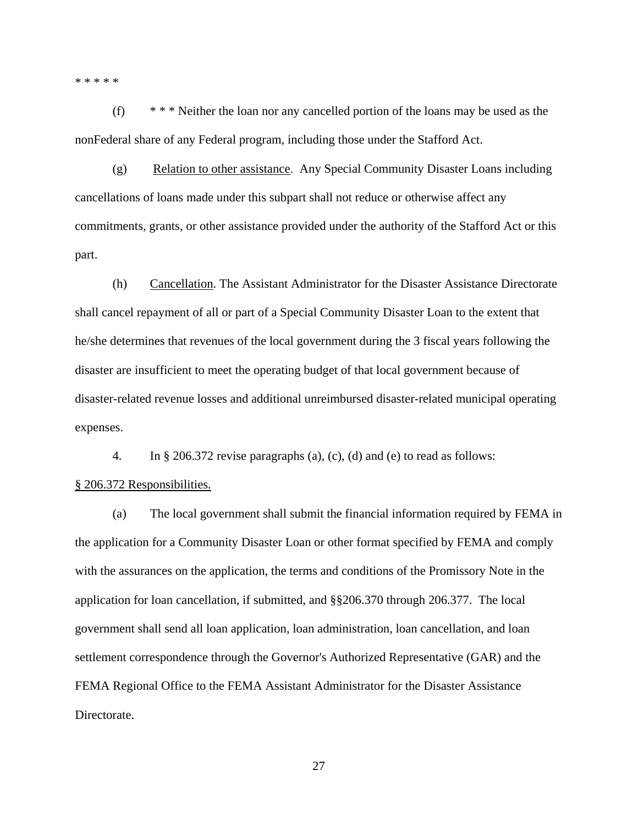\* \* \* \* \*

(f) \* \* \* Neither the loan nor any cancelled portion of the loans may be used as the nonFederal share of any Federal program, including those under the Stafford Act.

(g) Relation to other assistance. Any Special Community Disaster Loans including cancellations of loans made under this subpart shall not reduce or otherwise affect any commitments, grants, or other assistance provided under the authority of the Stafford Act or this part.

(h) Cancellation. The Assistant Administrator for the Disaster Assistance Directorate shall cancel repayment of all or part of a Special Community Disaster Loan to the extent that he/she determines that revenues of the local government during the 3 fiscal years following the disaster are insufficient to meet the operating budget of that local government because of disaster-related revenue losses and additional unreimbursed disaster-related municipal operating expenses.

4. In § 206.372 revise paragraphs (a), (c), (d) and (e) to read as follows:

### § 206.372 Responsibilities.

(a) The local government shall submit the financial information required by FEMA in the application for a Community Disaster Loan or other format specified by FEMA and comply with the assurances on the application, the terms and conditions of the Promissory Note in the application for loan cancellation, if submitted, and §§206.370 through 206.377. The local government shall send all loan application, loan administration, loan cancellation, and loan settlement correspondence through the Governor's Authorized Representative (GAR) and the FEMA Regional Office to the FEMA Assistant Administrator for the Disaster Assistance Directorate.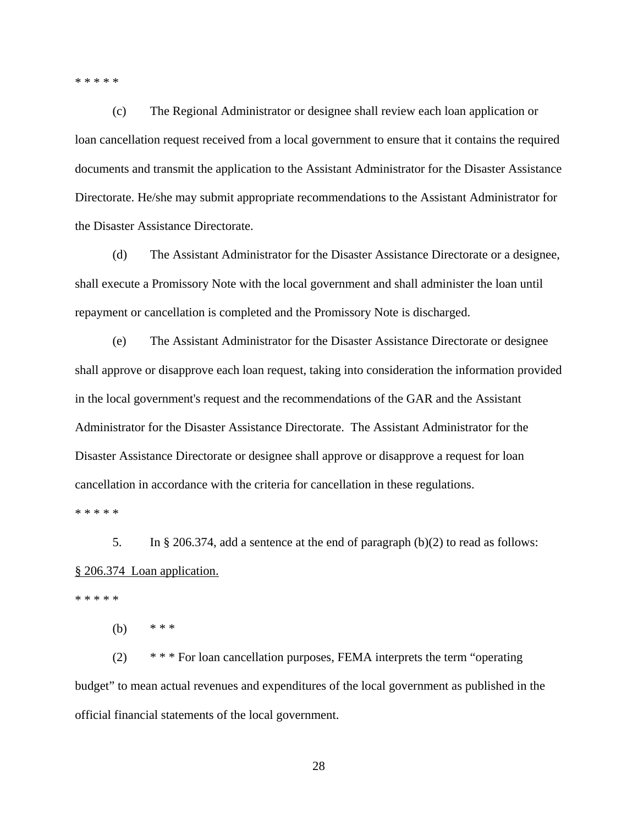\* \* \* \* \*

(c) The Regional Administrator or designee shall review each loan application or loan cancellation request received from a local government to ensure that it contains the required documents and transmit the application to the Assistant Administrator for the Disaster Assistance Directorate. He/she may submit appropriate recommendations to the Assistant Administrator for the Disaster Assistance Directorate.

(d) The Assistant Administrator for the Disaster Assistance Directorate or a designee, shall execute a Promissory Note with the local government and shall administer the loan until repayment or cancellation is completed and the Promissory Note is discharged.

(e) The Assistant Administrator for the Disaster Assistance Directorate or designee shall approve or disapprove each loan request, taking into consideration the information provided in the local government's request and the recommendations of the GAR and the Assistant Administrator for the Disaster Assistance Directorate. The Assistant Administrator for the Disaster Assistance Directorate or designee shall approve or disapprove a request for loan cancellation in accordance with the criteria for cancellation in these regulations.

\* \* \* \* \*

5. In § 206.374, add a sentence at the end of paragraph (b)(2) to read as follows: § 206.374 Loan application.

\* \* \* \* \*

(b)  $***$ 

(2) \* \* \* For loan cancellation purposes, FEMA interprets the term "operating budget" to mean actual revenues and expenditures of the local government as published in the official financial statements of the local government.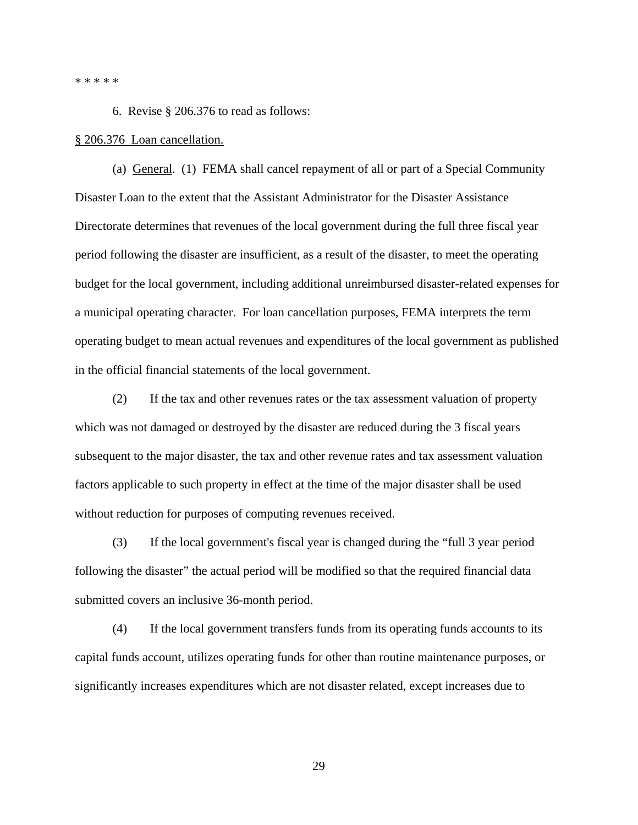\* \* \* \* \*

6. Revise § 206.376 to read as follows:

#### § 206.376 Loan cancellation.

(a) General. (1) FEMA shall cancel repayment of all or part of a Special Community Disaster Loan to the extent that the Assistant Administrator for the Disaster Assistance Directorate determines that revenues of the local government during the full three fiscal year period following the disaster are insufficient, as a result of the disaster, to meet the operating budget for the local government, including additional unreimbursed disaster-related expenses for a municipal operating character. For loan cancellation purposes, FEMA interprets the term operating budget to mean actual revenues and expenditures of the local government as published in the official financial statements of the local government.

(2) If the tax and other revenues rates or the tax assessment valuation of property which was not damaged or destroyed by the disaster are reduced during the 3 fiscal years subsequent to the major disaster, the tax and other revenue rates and tax assessment valuation factors applicable to such property in effect at the time of the major disaster shall be used without reduction for purposes of computing revenues received.

(3) If the local government's fiscal year is changed during the "full 3 year period following the disaster" the actual period will be modified so that the required financial data submitted covers an inclusive 36-month period.

(4) If the local government transfers funds from its operating funds accounts to its capital funds account, utilizes operating funds for other than routine maintenance purposes, or significantly increases expenditures which are not disaster related, except increases due to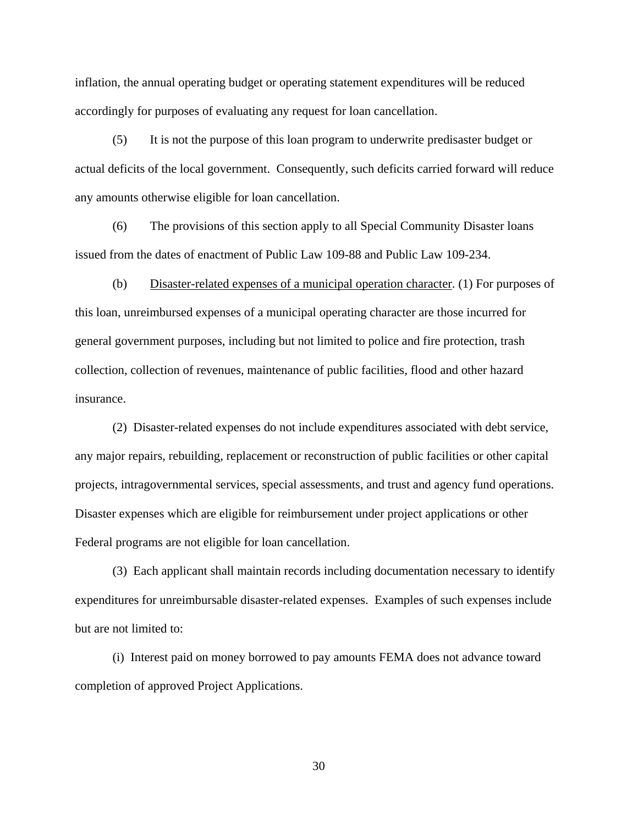inflation, the annual operating budget or operating statement expenditures will be reduced accordingly for purposes of evaluating any request for loan cancellation.

(5) It is not the purpose of this loan program to underwrite predisaster budget or actual deficits of the local government. Consequently, such deficits carried forward will reduce any amounts otherwise eligible for loan cancellation.

(6) The provisions of this section apply to all Special Community Disaster loans issued from the dates of enactment of Public Law 109-88 and Public Law 109-234.

(b) Disaster-related expenses of a municipal operation character. (1) For purposes of this loan, unreimbursed expenses of a municipal operating character are those incurred for general government purposes, including but not limited to police and fire protection, trash collection, collection of revenues, maintenance of public facilities, flood and other hazard insurance.

(2) Disaster-related expenses do not include expenditures associated with debt service, any major repairs, rebuilding, replacement or reconstruction of public facilities or other capital projects, intragovernmental services, special assessments, and trust and agency fund operations. Disaster expenses which are eligible for reimbursement under project applications or other Federal programs are not eligible for loan cancellation.

(3) Each applicant shall maintain records including documentation necessary to identify expenditures for unreimbursable disaster-related expenses. Examples of such expenses include but are not limited to:

(i) Interest paid on money borrowed to pay amounts FEMA does not advance toward completion of approved Project Applications.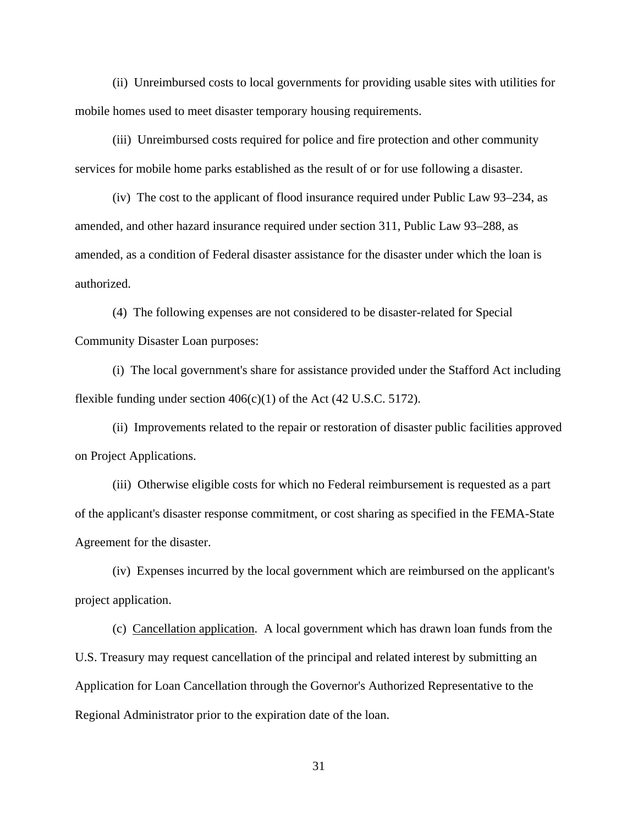(ii) Unreimbursed costs to local governments for providing usable sites with utilities for mobile homes used to meet disaster temporary housing requirements.

(iii) Unreimbursed costs required for police and fire protection and other community services for mobile home parks established as the result of or for use following a disaster.

(iv) The cost to the applicant of flood insurance required under Public Law 93–234, as amended, and other hazard insurance required under section 311, Public Law 93–288, as amended, as a condition of Federal disaster assistance for the disaster under which the loan is authorized.

(4) The following expenses are not considered to be disaster-related for Special Community Disaster Loan purposes:

(i) The local government's share for assistance provided under the Stafford Act including flexible funding under section 406(c)(1) of the Act (42 U.S.C. 5172).

(ii) Improvements related to the repair or restoration of disaster public facilities approved on Project Applications.

(iii) Otherwise eligible costs for which no Federal reimbursement is requested as a part of the applicant's disaster response commitment, or cost sharing as specified in the FEMA-State Agreement for the disaster.

(iv) Expenses incurred by the local government which are reimbursed on the applicant's project application.

(c) Cancellation application. A local government which has drawn loan funds from the U.S. Treasury may request cancellation of the principal and related interest by submitting an Application for Loan Cancellation through the Governor's Authorized Representative to the Regional Administrator prior to the expiration date of the loan.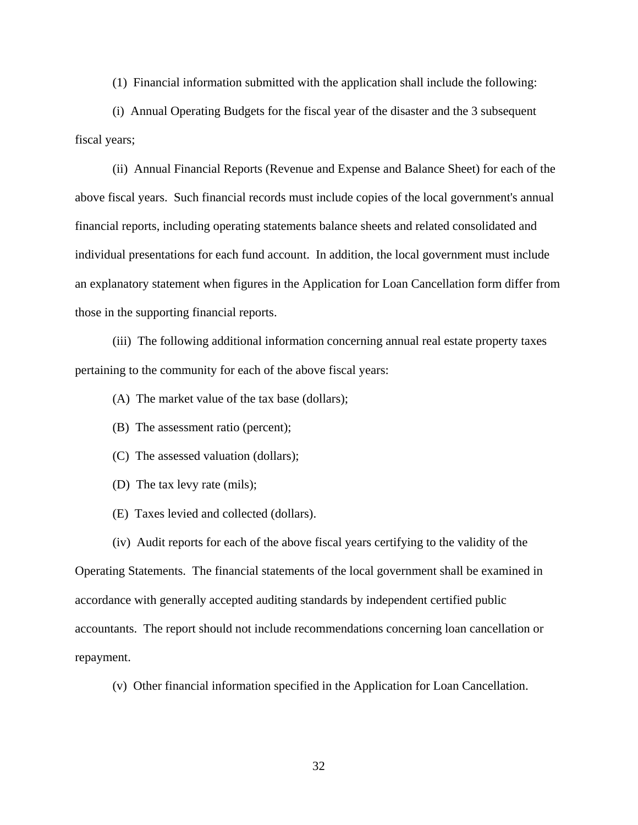(1) Financial information submitted with the application shall include the following:

(i) Annual Operating Budgets for the fiscal year of the disaster and the 3 subsequent fiscal years;

(ii) Annual Financial Reports (Revenue and Expense and Balance Sheet) for each of the above fiscal years. Such financial records must include copies of the local government's annual financial reports, including operating statements balance sheets and related consolidated and individual presentations for each fund account. In addition, the local government must include an explanatory statement when figures in the Application for Loan Cancellation form differ from those in the supporting financial reports.

(iii) The following additional information concerning annual real estate property taxes pertaining to the community for each of the above fiscal years:

(A) The market value of the tax base (dollars);

(B) The assessment ratio (percent);

(C) The assessed valuation (dollars);

(D) The tax levy rate (mils);

(E) Taxes levied and collected (dollars).

(iv) Audit reports for each of the above fiscal years certifying to the validity of the

Operating Statements. The financial statements of the local government shall be examined in accordance with generally accepted auditing standards by independent certified public accountants. The report should not include recommendations concerning loan cancellation or repayment.

(v) Other financial information specified in the Application for Loan Cancellation.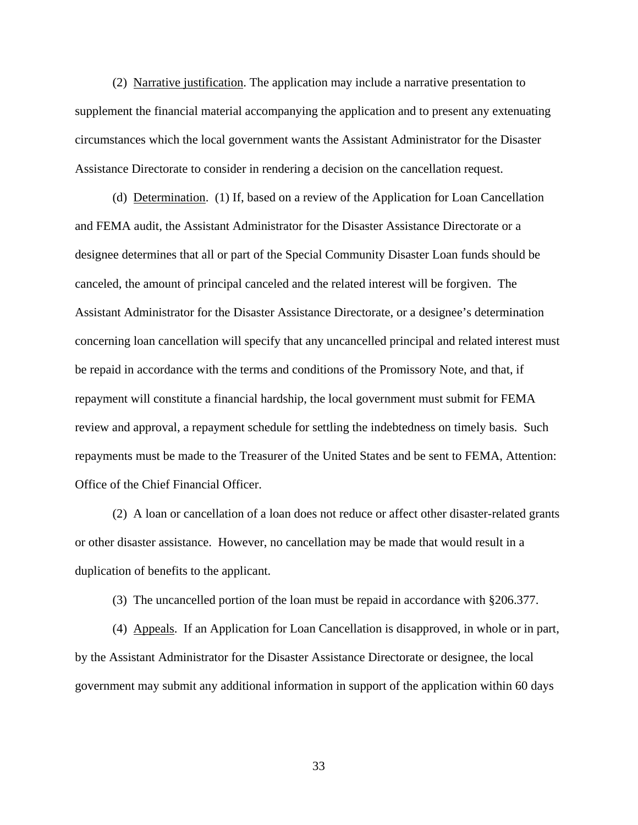(2) Narrative justification. The application may include a narrative presentation to supplement the financial material accompanying the application and to present any extenuating circumstances which the local government wants the Assistant Administrator for the Disaster Assistance Directorate to consider in rendering a decision on the cancellation request.

(d) Determination. (1) If, based on a review of the Application for Loan Cancellation and FEMA audit, the Assistant Administrator for the Disaster Assistance Directorate or a designee determines that all or part of the Special Community Disaster Loan funds should be canceled, the amount of principal canceled and the related interest will be forgiven. The Assistant Administrator for the Disaster Assistance Directorate, or a designee's determination concerning loan cancellation will specify that any uncancelled principal and related interest must be repaid in accordance with the terms and conditions of the Promissory Note, and that, if repayment will constitute a financial hardship, the local government must submit for FEMA review and approval, a repayment schedule for settling the indebtedness on timely basis. Such repayments must be made to the Treasurer of the United States and be sent to FEMA, Attention: Office of the Chief Financial Officer.

(2) A loan or cancellation of a loan does not reduce or affect other disaster-related grants or other disaster assistance. However, no cancellation may be made that would result in a duplication of benefits to the applicant.

(3) The uncancelled portion of the loan must be repaid in accordance with §206.377.

(4) Appeals. If an Application for Loan Cancellation is disapproved, in whole or in part, by the Assistant Administrator for the Disaster Assistance Directorate or designee, the local government may submit any additional information in support of the application within 60 days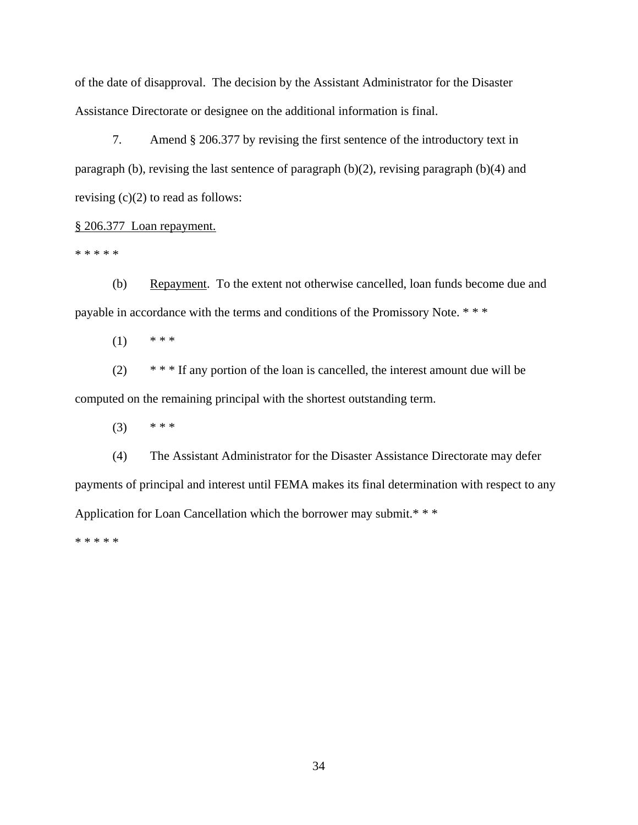of the date of disapproval. The decision by the Assistant Administrator for the Disaster Assistance Directorate or designee on the additional information is final.

7. Amend § 206.377 by revising the first sentence of the introductory text in paragraph (b), revising the last sentence of paragraph (b)(2), revising paragraph (b)(4) and revising  $(c)(2)$  to read as follows:

§ 206.377 Loan repayment.

\* \* \* \* \*

(b) Repayment. To the extent not otherwise cancelled, loan funds become due and payable in accordance with the terms and conditions of the Promissory Note. \* \* \*

 $(1)$  \* \* \*

 $(2)$  \* \* \* If any portion of the loan is cancelled, the interest amount due will be computed on the remaining principal with the shortest outstanding term.

 $(3)$  \* \* \*

(4) The Assistant Administrator for the Disaster Assistance Directorate may defer payments of principal and interest until FEMA makes its final determination with respect to any Application for Loan Cancellation which the borrower may submit.\* \* \*

\* \* \* \* \*